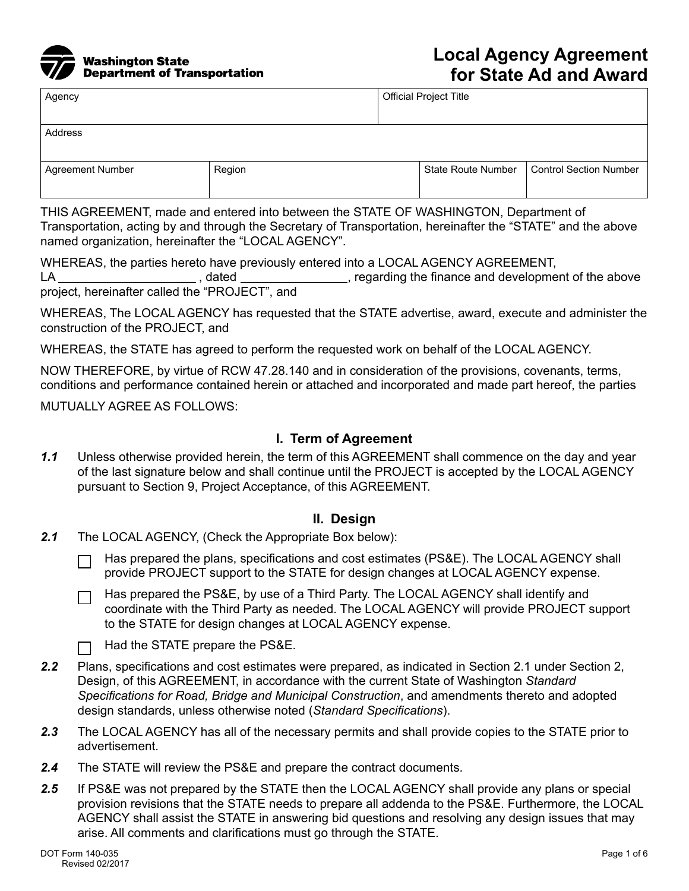

# **Local Agency Agreement for State Ad and Award**

| Agency           |        | <b>Official Project Title</b> |                    |                        |
|------------------|--------|-------------------------------|--------------------|------------------------|
| Address          |        |                               |                    |                        |
| Agreement Number | Region |                               | State Route Number | Control Section Number |

THIS AGREEMENT, made and entered into between the STATE OF WASHINGTON, Department of Transportation, acting by and through the Secretary of Transportation, hereinafter the "STATE" and the above named organization, hereinafter the "LOCAL AGENCY".

WHEREAS, the parties hereto have previously entered into a LOCAL AGENCY AGREEMENT,

LA \_\_\_\_\_\_\_\_\_\_\_\_\_\_\_\_\_\_\_\_\_\_\_, dated \_\_\_\_\_\_\_\_\_\_\_\_\_\_\_\_\_, regarding the finance and development of the above project, hereinafter called the "PROJECT", and

WHEREAS, The LOCAL AGENCY has requested that the STATE advertise, award, execute and administer the construction of the PROJECT, and

WHEREAS, the STATE has agreed to perform the requested work on behalf of the LOCAL AGENCY.

NOW THEREFORE, by virtue of RCW 47.28.140 and in consideration of the provisions, covenants, terms, conditions and performance contained herein or attached and incorporated and made part hereof, the parties

MUTUALLY AGREE AS FOLLOWS:

#### **I. Term of Agreement**

*1.1* Unless otherwise provided herein, the term of this AGREEMENT shall commence on the day and year of the last signature below and shall continue until the PROJECT is accepted by the LOCAL AGENCY pursuant to Section 9, Project Acceptance, of this AGREEMENT.

#### **II. Design**

- *2.1* The LOCAL AGENCY, (Check the Appropriate Box below):
	- Has prepared the plans, specifications and cost estimates (PS&E). The LOCAL AGENCY shall provide PROJECT support to the STATE for design changes at LOCAL AGENCY expense.

Has prepared the PS&E, by use of a Third Party. The LOCAL AGENCY shall identify and coordinate with the Third Party as needed. The LOCAL AGENCY will provide PROJECT support to the STATE for design changes at LOCAL AGENCY expense.

- Had the STATE prepare the PS&E.
- *2.2* Plans, specifications and cost estimates were prepared, as indicated in Section 2.1 under Section 2, Design, of this AGREEMENT, in accordance with the current State of Washington *Standard Specifications for Road, Bridge and Municipal Construction*, and amendments thereto and adopted design standards, unless otherwise noted (*Standard Specifications*).
- *2.3* The LOCAL AGENCY has all of the necessary permits and shall provide copies to the STATE prior to advertisement.
- *2.4* The STATE will review the PS&E and prepare the contract documents.
- *2.5* If PS&E was not prepared by the STATE then the LOCAL AGENCY shall provide any plans or special provision revisions that the STATE needs to prepare all addenda to the PS&E. Furthermore, the LOCAL AGENCY shall assist the STATE in answering bid questions and resolving any design issues that may arise. All comments and clarifications must go through the STATE.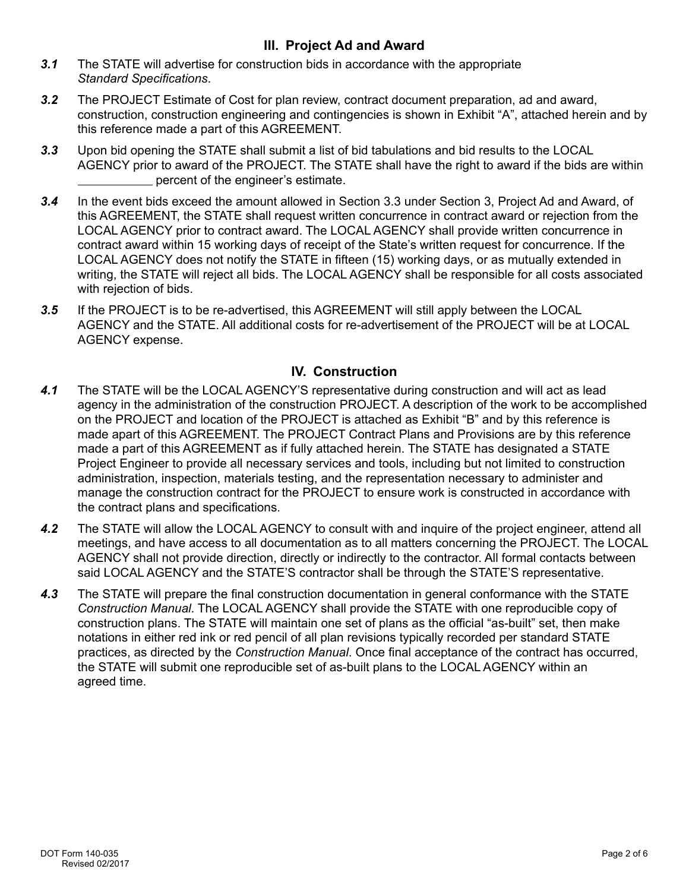## **III. Project Ad and Award**

- *3.1* The STATE will advertise for construction bids in accordance with the appropriate *Standard Specifications*.
- *3.2* The PROJECT Estimate of Cost for plan review, contract document preparation, ad and award, construction, construction engineering and contingencies is shown in Exhibit "A", attached herein and by this reference made a part of this AGREEMENT.
- *3.3* Upon bid opening the STATE shall submit a list of bid tabulations and bid results to the LOCAL AGENCY prior to award of the PROJECT. The STATE shall have the right to award if the bids are within percent of the engineer's estimate.
- *3.4* In the event bids exceed the amount allowed in Section 3.3 under Section 3, Project Ad and Award, of this AGREEMENT, the STATE shall request written concurrence in contract award or rejection from the LOCAL AGENCY prior to contract award. The LOCAL AGENCY shall provide written concurrence in contract award within 15 working days of receipt of the State's written request for concurrence. If the LOCAL AGENCY does not notify the STATE in fifteen (15) working days, or as mutually extended in writing, the STATE will reject all bids. The LOCAL AGENCY shall be responsible for all costs associated with rejection of bids.
- *3.5* If the PROJECT is to be re-advertised, this AGREEMENT will still apply between the LOCAL AGENCY and the STATE. All additional costs for re-advertisement of the PROJECT will be at LOCAL AGENCY expense.

#### **IV. Construction**

- 4.1 The STATE will be the LOCAL AGENCY'S representative during construction and will act as lead agency in the administration of the construction PROJECT. A description of the work to be accomplished on the PROJECT and location of the PROJECT is attached as Exhibit "B" and by this reference is made apart of this AGREEMENT. The PROJECT Contract Plans and Provisions are by this reference made a part of this AGREEMENT as if fully attached herein. The STATE has designated a STATE Project Engineer to provide all necessary services and tools, including but not limited to construction administration, inspection, materials testing, and the representation necessary to administer and manage the construction contract for the PROJECT to ensure work is constructed in accordance with the contract plans and specifications.
- *4.2* The STATE will allow the LOCAL AGENCY to consult with and inquire of the project engineer, attend all meetings, and have access to all documentation as to all matters concerning the PROJECT. The LOCAL AGENCY shall not provide direction, directly or indirectly to the contractor. All formal contacts between said LOCAL AGENCY and the STATE'S contractor shall be through the STATE'S representative.
- *4.3* The STATE will prepare the final construction documentation in general conformance with the STATE *Construction Manual*. The LOCAL AGENCY shall provide the STATE with one reproducible copy of construction plans. The STATE will maintain one set of plans as the official "as-built" set, then make notations in either red ink or red pencil of all plan revisions typically recorded per standard STATE practices, as directed by the *Construction Manual*. Once final acceptance of the contract has occurred, the STATE will submit one reproducible set of as-built plans to the LOCAL AGENCY within an agreed time.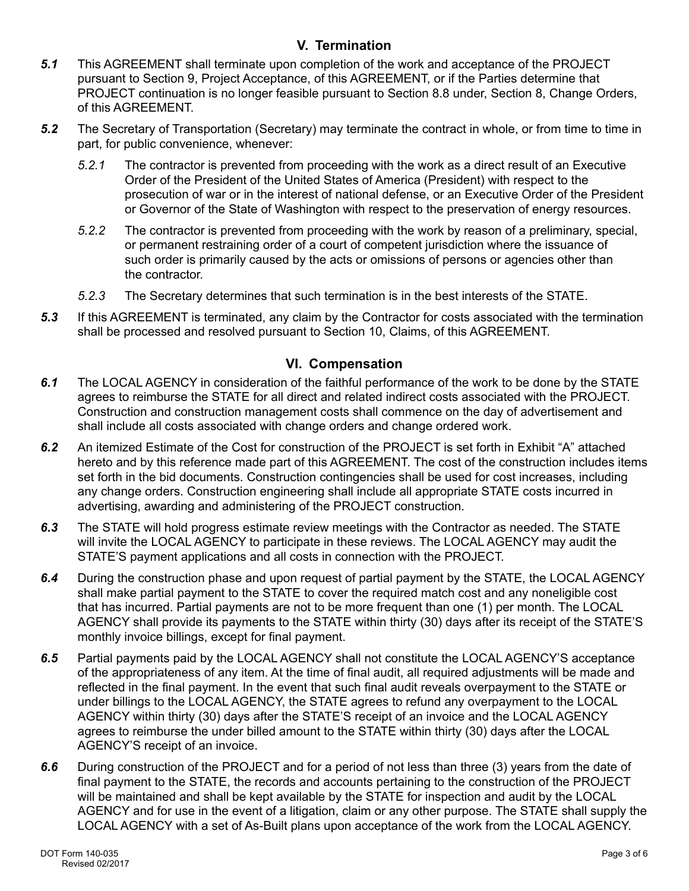## **V. Termination**

- *5.1* This AGREEMENT shall terminate upon completion of the work and acceptance of the PROJECT pursuant to Section 9, Project Acceptance, of this AGREEMENT, or if the Parties determine that PROJECT continuation is no longer feasible pursuant to Section 8.8 under, Section 8, Change Orders, of this AGREEMENT.
- *5.2* The Secretary of Transportation (Secretary) may terminate the contract in whole, or from time to time in part, for public convenience, whenever:
	- *5.2.1* The contractor is prevented from proceeding with the work as a direct result of an Executive Order of the President of the United States of America (President) with respect to the prosecution of war or in the interest of national defense, or an Executive Order of the President or Governor of the State of Washington with respect to the preservation of energy resources.
	- *5.2.2* The contractor is prevented from proceeding with the work by reason of a preliminary, special, or permanent restraining order of a court of competent jurisdiction where the issuance of such order is primarily caused by the acts or omissions of persons or agencies other than the contractor.
	- *5.2.3* The Secretary determines that such termination is in the best interests of the STATE.
- *5.3* If this AGREEMENT is terminated, any claim by the Contractor for costs associated with the termination shall be processed and resolved pursuant to Section 10, Claims, of this AGREEMENT.

#### **VI. Compensation**

- *6.1* The LOCAL AGENCY in consideration of the faithful performance of the work to be done by the STATE agrees to reimburse the STATE for all direct and related indirect costs associated with the PROJECT. Construction and construction management costs shall commence on the day of advertisement and shall include all costs associated with change orders and change ordered work.
- *6.2* An itemized Estimate of the Cost for construction of the PROJECT is set forth in Exhibit "A" attached hereto and by this reference made part of this AGREEMENT. The cost of the construction includes items set forth in the bid documents. Construction contingencies shall be used for cost increases, including any change orders. Construction engineering shall include all appropriate STATE costs incurred in advertising, awarding and administering of the PROJECT construction.
- *6.3* The STATE will hold progress estimate review meetings with the Contractor as needed. The STATE will invite the LOCAL AGENCY to participate in these reviews. The LOCAL AGENCY may audit the STATE'S payment applications and all costs in connection with the PROJECT.
- *6.4* During the construction phase and upon request of partial payment by the STATE, the LOCAL AGENCY shall make partial payment to the STATE to cover the required match cost and any noneligible cost that has incurred. Partial payments are not to be more frequent than one (1) per month. The LOCAL AGENCY shall provide its payments to the STATE within thirty (30) days after its receipt of the STATE'S monthly invoice billings, except for final payment.
- *6.5* Partial payments paid by the LOCAL AGENCY shall not constitute the LOCAL AGENCY'S acceptance of the appropriateness of any item. At the time of final audit, all required adjustments will be made and reflected in the final payment. In the event that such final audit reveals overpayment to the STATE or under billings to the LOCAL AGENCY, the STATE agrees to refund any overpayment to the LOCAL AGENCY within thirty (30) days after the STATE'S receipt of an invoice and the LOCAL AGENCY agrees to reimburse the under billed amount to the STATE within thirty (30) days after the LOCAL AGENCY'S receipt of an invoice.
- *6.6* During construction of the PROJECT and for a period of not less than three (3) years from the date of final payment to the STATE, the records and accounts pertaining to the construction of the PROJECT will be maintained and shall be kept available by the STATE for inspection and audit by the LOCAL AGENCY and for use in the event of a litigation, claim or any other purpose. The STATE shall supply the LOCAL AGENCY with a set of As-Built plans upon acceptance of the work from the LOCAL AGENCY.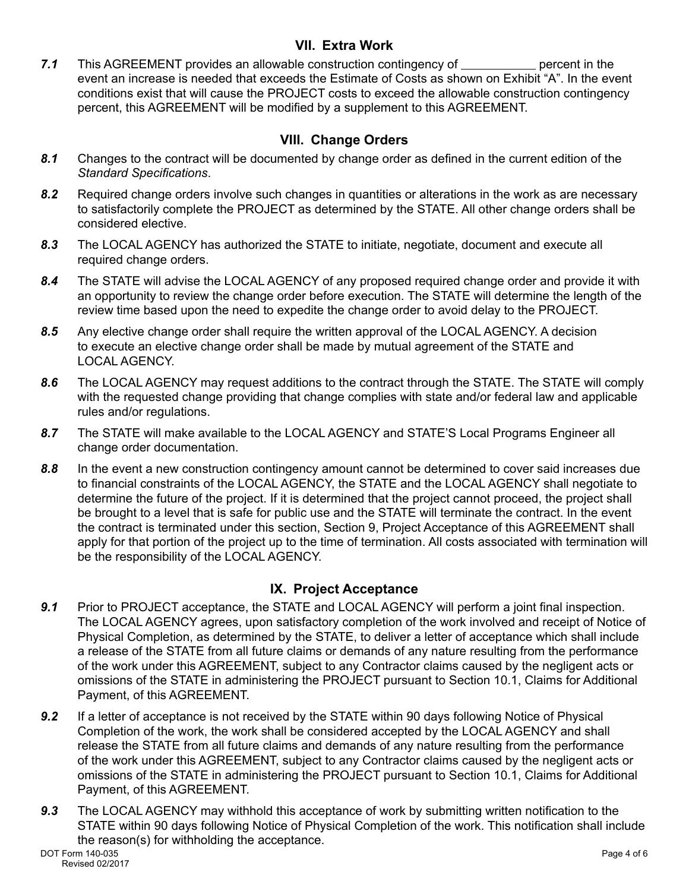## **VII. Extra Work**

7.1 This AGREEMENT provides an allowable construction contingency of <u>percent</u> in the event an increase is needed that exceeds the Estimate of Costs as shown on Exhibit "A". In the event conditions exist that will cause the PROJECT costs to exceed the allowable construction contingency percent, this AGREEMENT will be modified by a supplement to this AGREEMENT.

#### **VIII. Change Orders**

- *8.1* Changes to the contract will be documented by change order as defined in the current edition of the *Standard Specifications*.
- *8.2* Required change orders involve such changes in quantities or alterations in the work as are necessary to satisfactorily complete the PROJECT as determined by the STATE. All other change orders shall be considered elective.
- *8.3* The LOCAL AGENCY has authorized the STATE to initiate, negotiate, document and execute all required change orders.
- *8.4* The STATE will advise the LOCAL AGENCY of any proposed required change order and provide it with an opportunity to review the change order before execution. The STATE will determine the length of the review time based upon the need to expedite the change order to avoid delay to the PROJECT.
- *8.5* Any elective change order shall require the written approval of the LOCAL AGENCY. A decision to execute an elective change order shall be made by mutual agreement of the STATE and LOCAL AGENCY.
- *8.6* The LOCAL AGENCY may request additions to the contract through the STATE. The STATE will comply with the requested change providing that change complies with state and/or federal law and applicable rules and/or regulations.
- *8.7* The STATE will make available to the LOCAL AGENCY and STATE'S Local Programs Engineer all change order documentation.
- *8.8* In the event a new construction contingency amount cannot be determined to cover said increases due to financial constraints of the LOCAL AGENCY, the STATE and the LOCAL AGENCY shall negotiate to determine the future of the project. If it is determined that the project cannot proceed, the project shall be brought to a level that is safe for public use and the STATE will terminate the contract. In the event the contract is terminated under this section, Section 9, Project Acceptance of this AGREEMENT shall apply for that portion of the project up to the time of termination. All costs associated with termination will be the responsibility of the LOCAL AGENCY.

## **IX. Project Acceptance**

- 9.1 Prior to PROJECT acceptance, the STATE and LOCAL AGENCY will perform a joint final inspection. The LOCAL AGENCY agrees, upon satisfactory completion of the work involved and receipt of Notice of Physical Completion, as determined by the STATE, to deliver a letter of acceptance which shall include a release of the STATE from all future claims or demands of any nature resulting from the performance of the work under this AGREEMENT, subject to any Contractor claims caused by the negligent acts or omissions of the STATE in administering the PROJECT pursuant to Section 10.1, Claims for Additional Payment, of this AGREEMENT.
- *9.2* If a letter of acceptance is not received by the STATE within 90 days following Notice of Physical Completion of the work, the work shall be considered accepted by the LOCAL AGENCY and shall release the STATE from all future claims and demands of any nature resulting from the performance of the work under this AGREEMENT, subject to any Contractor claims caused by the negligent acts or omissions of the STATE in administering the PROJECT pursuant to Section 10.1, Claims for Additional Payment, of this AGREEMENT.
- *9.3* The LOCAL AGENCY may withhold this acceptance of work by submitting written notification to the STATE within 90 days following Notice of Physical Completion of the work. This notification shall include the reason(s) for withholding the acceptance.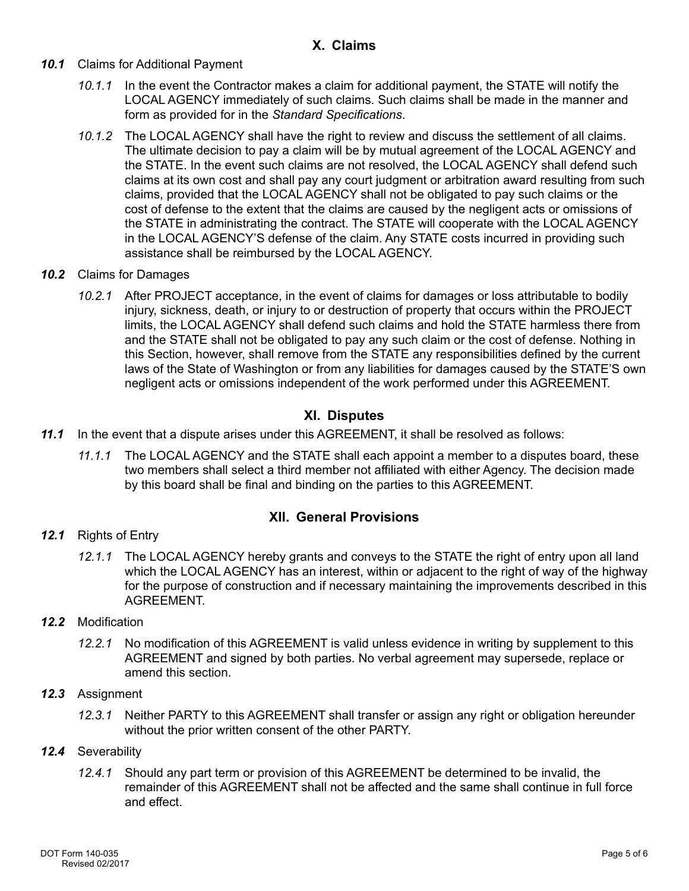## **X. Claims**

- *10.1* Claims for Additional Payment
	- *10.1.1* In the event the Contractor makes a claim for additional payment, the STATE will notify the LOCAL AGENCY immediately of such claims. Such claims shall be made in the manner and form as provided for in the *Standard Specifications*.
	- *10.1.2* The LOCAL AGENCY shall have the right to review and discuss the settlement of all claims. The ultimate decision to pay a claim will be by mutual agreement of the LOCAL AGENCY and the STATE. In the event such claims are not resolved, the LOCAL AGENCY shall defend such claims at its own cost and shall pay any court judgment or arbitration award resulting from such claims, provided that the LOCAL AGENCY shall not be obligated to pay such claims or the cost of defense to the extent that the claims are caused by the negligent acts or omissions of the STATE in administrating the contract. The STATE will cooperate with the LOCAL AGENCY in the LOCAL AGENCY'S defense of the claim. Any STATE costs incurred in providing such assistance shall be reimbursed by the LOCAL AGENCY.
- *10.2* Claims for Damages
	- *10.2.1* After PROJECT acceptance, in the event of claims for damages or loss attributable to bodily injury, sickness, death, or injury to or destruction of property that occurs within the PROJECT limits, the LOCAL AGENCY shall defend such claims and hold the STATE harmless there from and the STATE shall not be obligated to pay any such claim or the cost of defense. Nothing in this Section, however, shall remove from the STATE any responsibilities defined by the current laws of the State of Washington or from any liabilities for damages caused by the STATE'S own negligent acts or omissions independent of the work performed under this AGREEMENT.

## **XI. Disputes**

- *11.1* In the event that a dispute arises under this AGREEMENT, it shall be resolved as follows:
	- *11.1.1* The LOCAL AGENCY and the STATE shall each appoint a member to a disputes board, these two members shall select a third member not affiliated with either Agency. The decision made by this board shall be final and binding on the parties to this AGREEMENT.

## **XII. General Provisions**

- *12.1* Rights of Entry
	- *12.1.1* The LOCAL AGENCY hereby grants and conveys to the STATE the right of entry upon all land which the LOCAL AGENCY has an interest, within or adjacent to the right of way of the highway for the purpose of construction and if necessary maintaining the improvements described in this AGREEMENT.
- *12.2* Modification
	- *12.2.1* No modification of this AGREEMENT is valid unless evidence in writing by supplement to this AGREEMENT and signed by both parties. No verbal agreement may supersede, replace or amend this section.

#### *12.3* Assignment

*12.3.1* Neither PARTY to this AGREEMENT shall transfer or assign any right or obligation hereunder without the prior written consent of the other PARTY.

#### *12.4* Severability

*12.4.1* Should any part term or provision of this AGREEMENT be determined to be invalid, the remainder of this AGREEMENT shall not be affected and the same shall continue in full force and effect.